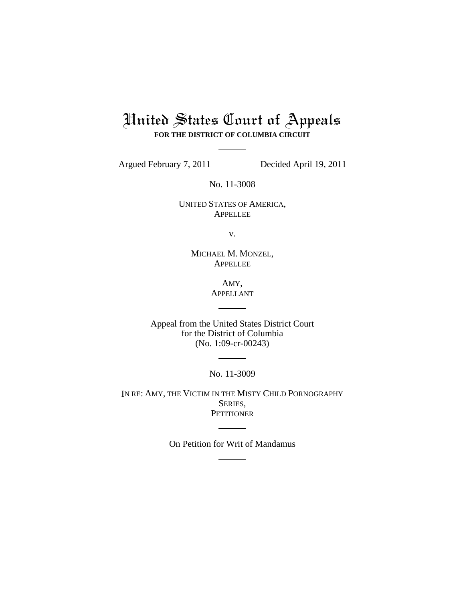## United States Court of Appeals

**FOR THE DISTRICT OF COLUMBIA CIRCUIT**

Argued February 7, 2011 Decided April 19, 2011

No. 11-3008

UNITED STATES OF AMERICA, APPELLEE

v.

MICHAEL M. MONZEL, APPELLEE

> AMY, APPELLANT

Appeal from the United States District Court for the District of Columbia (No. 1:09-cr-00243)

No. 11-3009

IN RE: AMY, THE VICTIM IN THE MISTY CHILD PORNOGRAPHY SERIES, **PETITIONER** 

On Petition for Writ of Mandamus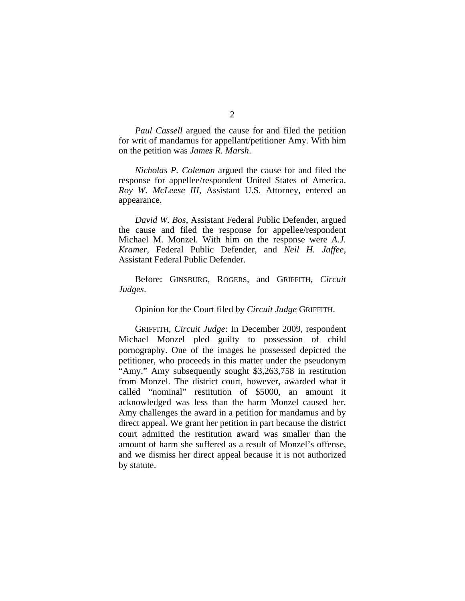*Paul Cassell* argued the cause for and filed the petition for writ of mandamus for appellant/petitioner Amy. With him on the petition was *James R. Marsh*.

*Nicholas P. Coleman* argued the cause for and filed the response for appellee/respondent United States of America. *Roy W. McLeese III*, Assistant U.S. Attorney, entered an appearance.

*David W. Bos*, Assistant Federal Public Defender, argued the cause and filed the response for appellee/respondent Michael M. Monzel. With him on the response were *A.J. Kramer*, Federal Public Defender, and *Neil H. Jaffee*, Assistant Federal Public Defender.

Before: GINSBURG, ROGERS, and GRIFFITH, *Circuit Judges*.

Opinion for the Court filed by *Circuit Judge* GRIFFITH.

 GRIFFITH, *Circuit Judge*: In December 2009, respondent Michael Monzel pled guilty to possession of child pornography. One of the images he possessed depicted the petitioner, who proceeds in this matter under the pseudonym "Amy." Amy subsequently sought \$3,263,758 in restitution from Monzel. The district court, however, awarded what it called "nominal" restitution of \$5000, an amount it acknowledged was less than the harm Monzel caused her. Amy challenges the award in a petition for mandamus and by direct appeal. We grant her petition in part because the district court admitted the restitution award was smaller than the amount of harm she suffered as a result of Monzel's offense, and we dismiss her direct appeal because it is not authorized by statute.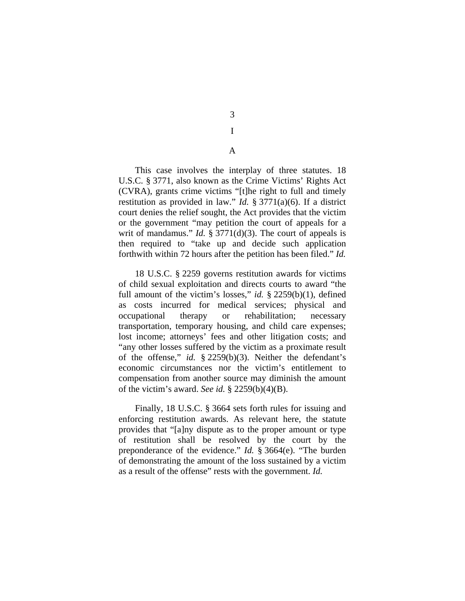3 I

A

This case involves the interplay of three statutes. 18 U.S.C. § 3771, also known as the Crime Victims' Rights Act (CVRA), grants crime victims "[t]he right to full and timely restitution as provided in law." *Id.* § 3771(a)(6). If a district court denies the relief sought, the Act provides that the victim or the government "may petition the court of appeals for a writ of mandamus." *Id.* § 3771(d)(3). The court of appeals is then required to "take up and decide such application forthwith within 72 hours after the petition has been filed." *Id.* 

18 U.S.C. § 2259 governs restitution awards for victims of child sexual exploitation and directs courts to award "the full amount of the victim's losses," *id.* § 2259(b)(1), defined as costs incurred for medical services; physical and occupational therapy or rehabilitation; necessary transportation, temporary housing, and child care expenses; lost income; attorneys' fees and other litigation costs; and "any other losses suffered by the victim as a proximate result of the offense," *id.* § 2259(b)(3). Neither the defendant's economic circumstances nor the victim's entitlement to compensation from another source may diminish the amount of the victim's award. *See id.* § 2259(b)(4)(B).

Finally, 18 U.S.C. § 3664 sets forth rules for issuing and enforcing restitution awards. As relevant here, the statute provides that "[a]ny dispute as to the proper amount or type of restitution shall be resolved by the court by the preponderance of the evidence." *Id.* § 3664(e). "The burden of demonstrating the amount of the loss sustained by a victim as a result of the offense" rests with the government. *Id.*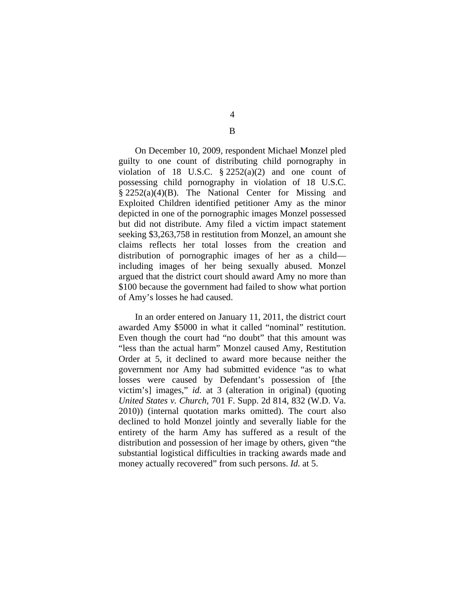On December 10, 2009, respondent Michael Monzel pled guilty to one count of distributing child pornography in violation of 18 U.S.C.  $\S 2252(a)(2)$  and one count of possessing child pornography in violation of 18 U.S.C. § 2252(a)(4)(B). The National Center for Missing and Exploited Children identified petitioner Amy as the minor depicted in one of the pornographic images Monzel possessed but did not distribute. Amy filed a victim impact statement seeking \$3,263,758 in restitution from Monzel, an amount she claims reflects her total losses from the creation and distribution of pornographic images of her as a child including images of her being sexually abused. Monzel argued that the district court should award Amy no more than \$100 because the government had failed to show what portion of Amy's losses he had caused.

In an order entered on January 11, 2011, the district court awarded Amy \$5000 in what it called "nominal" restitution. Even though the court had "no doubt" that this amount was "less than the actual harm" Monzel caused Amy, Restitution Order at 5, it declined to award more because neither the government nor Amy had submitted evidence "as to what losses were caused by Defendant's possession of [the victim's] images," *id.* at 3 (alteration in original) (quoting *United States v. Church*, 701 F. Supp. 2d 814, 832 (W.D. Va. 2010)) (internal quotation marks omitted). The court also declined to hold Monzel jointly and severally liable for the entirety of the harm Amy has suffered as a result of the distribution and possession of her image by others, given "the substantial logistical difficulties in tracking awards made and money actually recovered" from such persons. *Id.* at 5.

4

B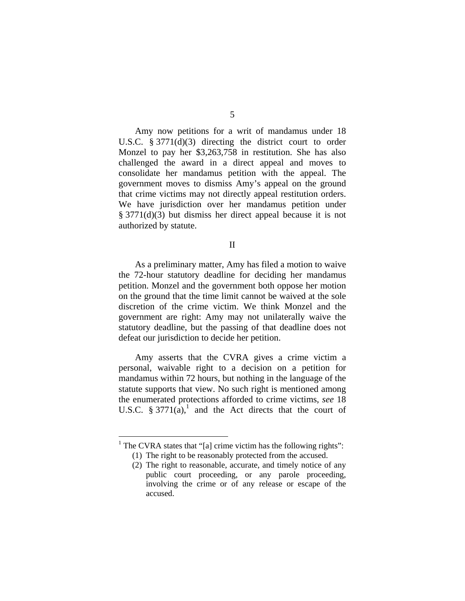Amy now petitions for a writ of mandamus under 18 U.S.C. § 3771(d)(3) directing the district court to order Monzel to pay her \$3,263,758 in restitution. She has also challenged the award in a direct appeal and moves to consolidate her mandamus petition with the appeal. The government moves to dismiss Amy's appeal on the ground that crime victims may not directly appeal restitution orders. We have jurisdiction over her mandamus petition under § 3771(d)(3) but dismiss her direct appeal because it is not authorized by statute.

II

 As a preliminary matter, Amy has filed a motion to waive the 72-hour statutory deadline for deciding her mandamus petition. Monzel and the government both oppose her motion on the ground that the time limit cannot be waived at the sole discretion of the crime victim. We think Monzel and the government are right: Amy may not unilaterally waive the statutory deadline, but the passing of that deadline does not defeat our jurisdiction to decide her petition.

Amy asserts that the CVRA gives a crime victim a personal, waivable right to a decision on a petition for mandamus within 72 hours, but nothing in the language of the statute supports that view. No such right is mentioned among the enumerated protections afforded to crime victims, *see* 18 U.S.C.  $\S 3771(a)$ ,<sup>1</sup> and the Act directs that the court of

 $<sup>1</sup>$  The CVRA states that "[a] crime victim has the following rights":</sup>

<sup>(1)</sup> The right to be reasonably protected from the accused.

<sup>(2)</sup> The right to reasonable, accurate, and timely notice of any public court proceeding, or any parole proceeding, involving the crime or of any release or escape of the accused.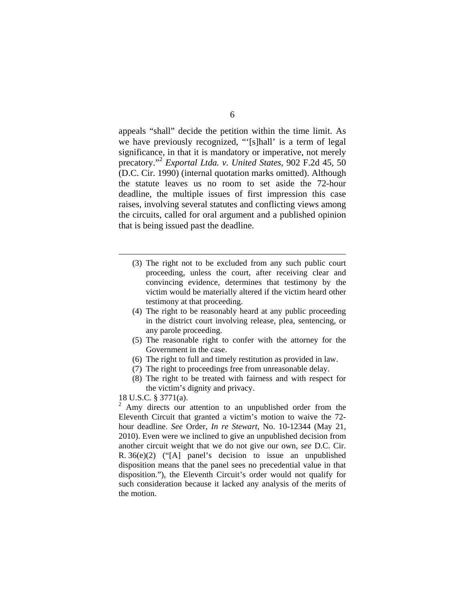appeals "shall" decide the petition within the time limit. As we have previously recognized, "'[s]hall' is a term of legal significance, in that it is mandatory or imperative, not merely precatory."2 *Exportal Ltda. v. United States*, 902 F.2d 45, 50 (D.C. Cir. 1990) (internal quotation marks omitted). Although the statute leaves us no room to set aside the 72-hour deadline, the multiple issues of first impression this case raises, involving several statutes and conflicting views among the circuits, called for oral argument and a published opinion that is being issued past the deadline.

- (3) The right not to be excluded from any such public court proceeding, unless the court, after receiving clear and convincing evidence, determines that testimony by the victim would be materially altered if the victim heard other testimony at that proceeding.
- (4) The right to be reasonably heard at any public proceeding in the district court involving release, plea, sentencing, or any parole proceeding.
- (5) The reasonable right to confer with the attorney for the Government in the case.
- (6) The right to full and timely restitution as provided in law.
- (7) The right to proceedings free from unreasonable delay.
- (8) The right to be treated with fairness and with respect for the victim's dignity and privacy.

18 U.S.C. § 3771(a).

 $\overline{a}$ 

 $2$  Amy directs our attention to an unpublished order from the Eleventh Circuit that granted a victim's motion to waive the 72 hour deadline. *See* Order, *In re Stewart*, No. 10-12344 (May 21, 2010). Even were we inclined to give an unpublished decision from another circuit weight that we do not give our own, *see* D.C. Cir. R. 36(e)(2) ("[A] panel's decision to issue an unpublished disposition means that the panel sees no precedential value in that disposition."), the Eleventh Circuit's order would not qualify for such consideration because it lacked any analysis of the merits of the motion.

## 6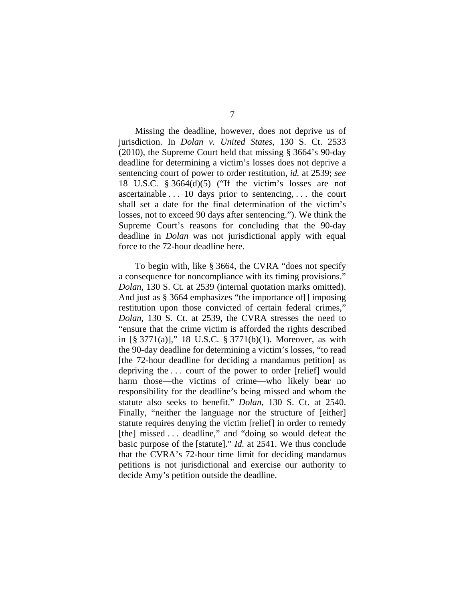Missing the deadline, however, does not deprive us of jurisdiction. In *Dolan v. United States*, 130 S. Ct. 2533 (2010), the Supreme Court held that missing § 3664's 90-day deadline for determining a victim's losses does not deprive a sentencing court of power to order restitution, *id.* at 2539; *see*  18 U.S.C. § 3664(d)(5) ("If the victim's losses are not ascertainable . . . 10 days prior to sentencing, . . . the court shall set a date for the final determination of the victim's losses, not to exceed 90 days after sentencing."). We think the Supreme Court's reasons for concluding that the 90-day deadline in *Dolan* was not jurisdictional apply with equal force to the 72-hour deadline here.

To begin with, like § 3664, the CVRA "does not specify a consequence for noncompliance with its timing provisions." *Dolan*, 130 S. Ct. at 2539 (internal quotation marks omitted). And just as § 3664 emphasizes "the importance of [] imposing restitution upon those convicted of certain federal crimes," *Dolan*, 130 S. Ct. at 2539, the CVRA stresses the need to "ensure that the crime victim is afforded the rights described in [§ 3771(a)]," 18 U.S.C. § 3771(b)(1). Moreover, as with the 90-day deadline for determining a victim's losses, "to read [the 72-hour deadline for deciding a mandamus petition] as depriving the . . . court of the power to order [relief] would harm those—the victims of crime—who likely bear no responsibility for the deadline's being missed and whom the statute also seeks to benefit." *Dolan*, 130 S. Ct. at 2540. Finally, "neither the language nor the structure of [either] statute requires denying the victim [relief] in order to remedy [the] missed . . . deadline," and "doing so would defeat the basic purpose of the [statute]." *Id.* at 2541. We thus conclude that the CVRA's 72-hour time limit for deciding mandamus petitions is not jurisdictional and exercise our authority to decide Amy's petition outside the deadline.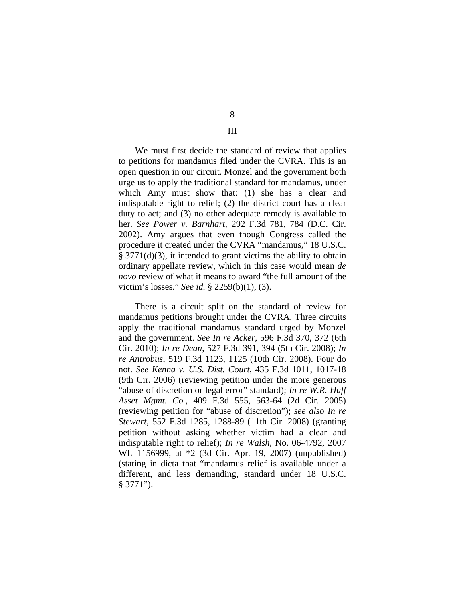We must first decide the standard of review that applies to petitions for mandamus filed under the CVRA. This is an open question in our circuit. Monzel and the government both urge us to apply the traditional standard for mandamus, under which Amy must show that: (1) she has a clear and indisputable right to relief; (2) the district court has a clear duty to act; and (3) no other adequate remedy is available to her. *See Power v. Barnhart*, 292 F.3d 781, 784 (D.C. Cir. 2002). Amy argues that even though Congress called the procedure it created under the CVRA "mandamus," 18 U.S.C. § 3771(d)(3), it intended to grant victims the ability to obtain ordinary appellate review, which in this case would mean *de novo* review of what it means to award "the full amount of the victim's losses." *See id.* § 2259(b)(1), (3).

There is a circuit split on the standard of review for mandamus petitions brought under the CVRA. Three circuits apply the traditional mandamus standard urged by Monzel and the government. *See In re Acker*, 596 F.3d 370, 372 (6th Cir. 2010); *In re Dean*, 527 F.3d 391, 394 (5th Cir. 2008); *In re Antrobus*, 519 F.3d 1123, 1125 (10th Cir. 2008). Four do not. *See Kenna v. U.S. Dist. Court*, 435 F.3d 1011, 1017-18 (9th Cir. 2006) (reviewing petition under the more generous "abuse of discretion or legal error" standard); *In re W.R. Huff Asset Mgmt. Co.*, 409 F.3d 555, 563-64 (2d Cir. 2005) (reviewing petition for "abuse of discretion"); *see also In re Stewart*, 552 F.3d 1285, 1288-89 (11th Cir. 2008) (granting petition without asking whether victim had a clear and indisputable right to relief); *In re Walsh*, No. 06-4792, 2007 WL 1156999, at \*2 (3d Cir. Apr. 19, 2007) (unpublished) (stating in dicta that "mandamus relief is available under a different, and less demanding, standard under 18 U.S.C. § 3771").

8

III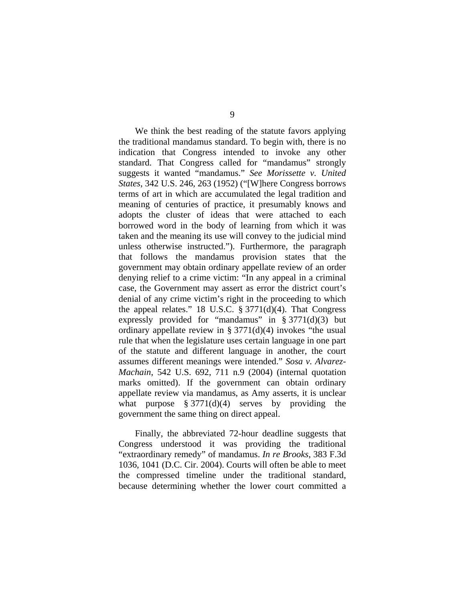We think the best reading of the statute favors applying the traditional mandamus standard. To begin with, there is no indication that Congress intended to invoke any other standard. That Congress called for "mandamus" strongly suggests it wanted "mandamus." *See Morissette v. United States*, 342 U.S. 246, 263 (1952) ("[W]here Congress borrows terms of art in which are accumulated the legal tradition and meaning of centuries of practice, it presumably knows and adopts the cluster of ideas that were attached to each borrowed word in the body of learning from which it was taken and the meaning its use will convey to the judicial mind unless otherwise instructed."). Furthermore, the paragraph that follows the mandamus provision states that the government may obtain ordinary appellate review of an order denying relief to a crime victim: "In any appeal in a criminal case, the Government may assert as error the district court's denial of any crime victim's right in the proceeding to which the appeal relates." 18 U.S.C. § 3771(d)(4). That Congress expressly provided for "mandamus" in § 3771(d)(3) but ordinary appellate review in §  $3771(d)(4)$  invokes "the usual rule that when the legislature uses certain language in one part of the statute and different language in another, the court assumes different meanings were intended." *Sosa v. Alvarez-Machain*, 542 U.S. 692, 711 n.9 (2004) (internal quotation marks omitted). If the government can obtain ordinary appellate review via mandamus, as Amy asserts, it is unclear what purpose  $\S 3771(d)(4)$  serves by providing the government the same thing on direct appeal.

Finally, the abbreviated 72-hour deadline suggests that Congress understood it was providing the traditional "extraordinary remedy" of mandamus. *In re Brooks*, 383 F.3d 1036, 1041 (D.C. Cir. 2004). Courts will often be able to meet the compressed timeline under the traditional standard, because determining whether the lower court committed a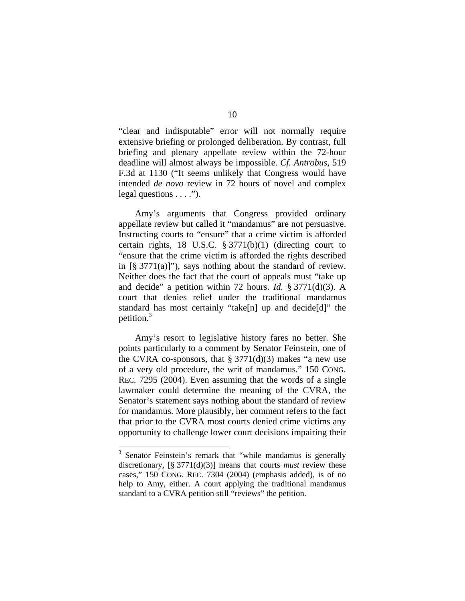"clear and indisputable" error will not normally require extensive briefing or prolonged deliberation. By contrast, full briefing and plenary appellate review within the 72-hour deadline will almost always be impossible. *Cf. Antrobus*, 519 F.3d at 1130 ("It seems unlikely that Congress would have intended *de novo* review in 72 hours of novel and complex legal questions  $\dots$ ").

Amy's arguments that Congress provided ordinary appellate review but called it "mandamus" are not persuasive. Instructing courts to "ensure" that a crime victim is afforded certain rights, 18 U.S.C. § 3771(b)(1) (directing court to "ensure that the crime victim is afforded the rights described in  $[\S 3771(a)]$ ", says nothing about the standard of review. Neither does the fact that the court of appeals must "take up and decide" a petition within 72 hours. *Id.* § 3771(d)(3). A court that denies relief under the traditional mandamus standard has most certainly "take[n] up and decide[d]" the petition.3

Amy's resort to legislative history fares no better. She points particularly to a comment by Senator Feinstein, one of the CVRA co-sponsors, that  $\S 3771(d)(3)$  makes "a new use of a very old procedure, the writ of mandamus." 150 CONG. REC. 7295 (2004). Even assuming that the words of a single lawmaker could determine the meaning of the CVRA, the Senator's statement says nothing about the standard of review for mandamus. More plausibly, her comment refers to the fact that prior to the CVRA most courts denied crime victims any opportunity to challenge lower court decisions impairing their

<sup>&</sup>lt;sup>3</sup> Senator Feinstein's remark that "while mandamus is generally discretionary, [§ 3771(d)(3)] means that courts *must* review these cases," 150 CONG. REC. 7304 (2004) (emphasis added), is of no help to Amy, either. A court applying the traditional mandamus standard to a CVRA petition still "reviews" the petition.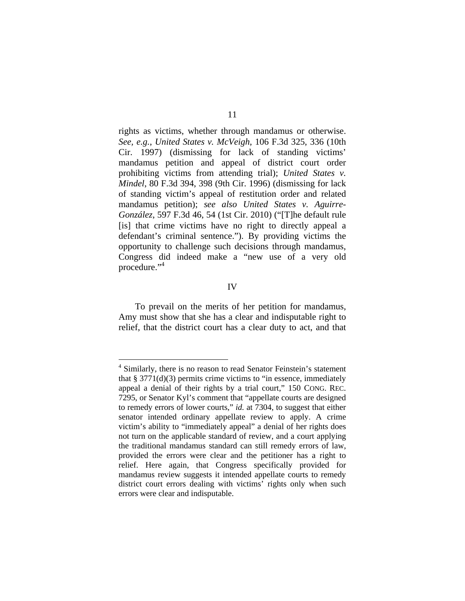rights as victims, whether through mandamus or otherwise. *See, e.g.*, *United States v. McVeigh*, 106 F.3d 325, 336 (10th Cir. 1997) (dismissing for lack of standing victims' mandamus petition and appeal of district court order prohibiting victims from attending trial); *United States v. Mindel*, 80 F.3d 394, 398 (9th Cir. 1996) (dismissing for lack of standing victim's appeal of restitution order and related mandamus petition); *see also United States v. Aguirre-González*, 597 F.3d 46, 54 (1st Cir. 2010) ("[T]he default rule [is] that crime victims have no right to directly appeal a defendant's criminal sentence."). By providing victims the opportunity to challenge such decisions through mandamus, Congress did indeed make a "new use of a very old procedure."<sup>4</sup>

## IV

 To prevail on the merits of her petition for mandamus, Amy must show that she has a clear and indisputable right to relief, that the district court has a clear duty to act, and that

<sup>&</sup>lt;sup>4</sup> Similarly, there is no reason to read Senator Feinstein's statement that  $\S 3771(d)(3)$  permits crime victims to "in essence, immediately appeal a denial of their rights by a trial court," 150 CONG. REC. 7295, or Senator Kyl's comment that "appellate courts are designed to remedy errors of lower courts," *id.* at 7304, to suggest that either senator intended ordinary appellate review to apply. A crime victim's ability to "immediately appeal" a denial of her rights does not turn on the applicable standard of review, and a court applying the traditional mandamus standard can still remedy errors of law, provided the errors were clear and the petitioner has a right to relief. Here again, that Congress specifically provided for mandamus review suggests it intended appellate courts to remedy district court errors dealing with victims' rights only when such errors were clear and indisputable.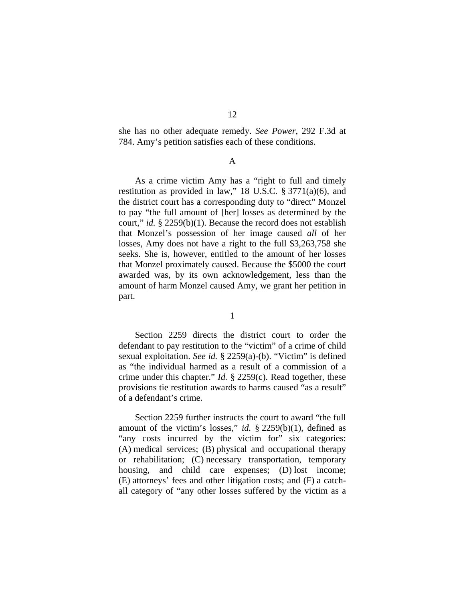she has no other adequate remedy. *See Power*, 292 F.3d at 784. Amy's petition satisfies each of these conditions.

A

 As a crime victim Amy has a "right to full and timely restitution as provided in law," 18 U.S.C. § 3771(a)(6), and the district court has a corresponding duty to "direct" Monzel to pay "the full amount of [her] losses as determined by the court," *id.* § 2259(b)(1). Because the record does not establish that Monzel's possession of her image caused *all* of her losses, Amy does not have a right to the full \$3,263,758 she seeks. She is, however, entitled to the amount of her losses that Monzel proximately caused. Because the \$5000 the court awarded was, by its own acknowledgement, less than the amount of harm Monzel caused Amy, we grant her petition in part.

1

Section 2259 directs the district court to order the defendant to pay restitution to the "victim" of a crime of child sexual exploitation. *See id.* § 2259(a)-(b). "Victim" is defined as "the individual harmed as a result of a commission of a crime under this chapter." *Id.* § 2259(c). Read together, these provisions tie restitution awards to harms caused "as a result" of a defendant's crime.

Section 2259 further instructs the court to award "the full amount of the victim's losses," *id.* § 2259(b)(1), defined as "any costs incurred by the victim for" six categories: (A) medical services; (B) physical and occupational therapy or rehabilitation; (C) necessary transportation, temporary housing, and child care expenses; (D) lost income; (E) attorneys' fees and other litigation costs; and (F) a catchall category of "any other losses suffered by the victim as a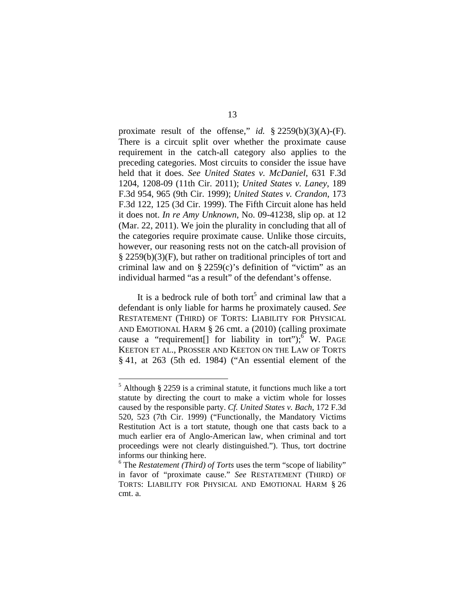proximate result of the offense," *id.* § 2259(b)(3)(A)-(F). There is a circuit split over whether the proximate cause requirement in the catch-all category also applies to the preceding categories. Most circuits to consider the issue have held that it does. *See United States v. McDaniel*, 631 F.3d 1204, 1208-09 (11th Cir. 2011); *United States v. Laney*, 189 F.3d 954, 965 (9th Cir. 1999); *United States v. Crandon*, 173 F.3d 122, 125 (3d Cir. 1999). The Fifth Circuit alone has held it does not. *In re Amy Unknown*, No. 09-41238, slip op. at 12 (Mar. 22, 2011). We join the plurality in concluding that all of the categories require proximate cause. Unlike those circuits, however, our reasoning rests not on the catch-all provision of § 2259(b)(3)(F), but rather on traditional principles of tort and criminal law and on  $\S$  2259(c)'s definition of "victim" as an individual harmed "as a result" of the defendant's offense.

It is a bedrock rule of both tort<sup>5</sup> and criminal law that a defendant is only liable for harms he proximately caused. *See* RESTATEMENT (THIRD) OF TORTS: LIABILITY FOR PHYSICAL AND EMOTIONAL HARM § 26 cmt. a (2010) (calling proximate cause a "requirement<sup>[]</sup> for liability in tort"); W. PAGE KEETON ET AL., PROSSER AND KEETON ON THE LAW OF TORTS § 41, at 263 (5th ed. 1984) ("An essential element of the

 $<sup>5</sup>$  Although § 2259 is a criminal statute, it functions much like a tort</sup> statute by directing the court to make a victim whole for losses caused by the responsible party. *Cf. United States v. Bach*, 172 F.3d 520, 523 (7th Cir. 1999) ("Functionally, the Mandatory Victims Restitution Act is a tort statute, though one that casts back to a much earlier era of Anglo-American law, when criminal and tort proceedings were not clearly distinguished."). Thus, tort doctrine informs our thinking here.

<sup>&</sup>lt;sup>6</sup> The *Restatement (Third) of Torts* uses the term "scope of liability" in favor of "proximate cause." *See* RESTATEMENT (THIRD) OF TORTS: LIABILITY FOR PHYSICAL AND EMOTIONAL HARM § 26 cmt. a.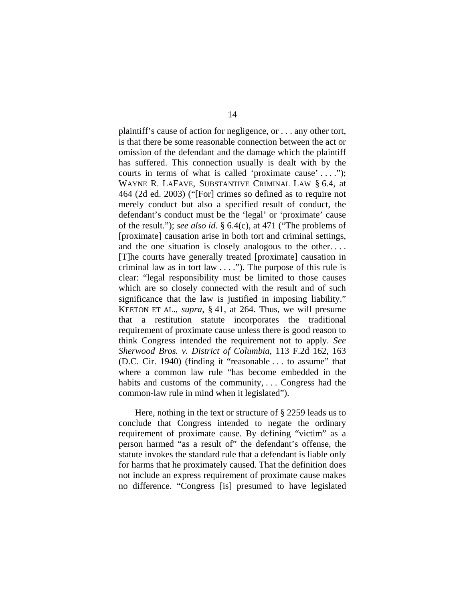plaintiff's cause of action for negligence, or . . . any other tort, is that there be some reasonable connection between the act or omission of the defendant and the damage which the plaintiff has suffered. This connection usually is dealt with by the courts in terms of what is called 'proximate cause' . . . ."); WAYNE R. LAFAVE, SUBSTANTIVE CRIMINAL LAW § 6.4, at 464 (2d ed. 2003) ("[For] crimes so defined as to require not merely conduct but also a specified result of conduct, the defendant's conduct must be the 'legal' or 'proximate' cause of the result."); *see also id.* § 6.4(c), at 471 ("The problems of [proximate] causation arise in both tort and criminal settings, and the one situation is closely analogous to the other.... [T]he courts have generally treated [proximate] causation in criminal law as in tort law  $\dots$ ."). The purpose of this rule is clear: "legal responsibility must be limited to those causes which are so closely connected with the result and of such significance that the law is justified in imposing liability." KEETON ET AL.*, supra*, § 41, at 264. Thus, we will presume that a restitution statute incorporates the traditional requirement of proximate cause unless there is good reason to think Congress intended the requirement not to apply. *See Sherwood Bros. v. District of Columbia*, 113 F.2d 162, 163 (D.C. Cir. 1940) (finding it "reasonable . . . to assume" that where a common law rule "has become embedded in the habits and customs of the community, . . . Congress had the common-law rule in mind when it legislated").

Here, nothing in the text or structure of § 2259 leads us to conclude that Congress intended to negate the ordinary requirement of proximate cause. By defining "victim" as a person harmed "as a result of" the defendant's offense, the statute invokes the standard rule that a defendant is liable only for harms that he proximately caused. That the definition does not include an express requirement of proximate cause makes no difference. "Congress [is] presumed to have legislated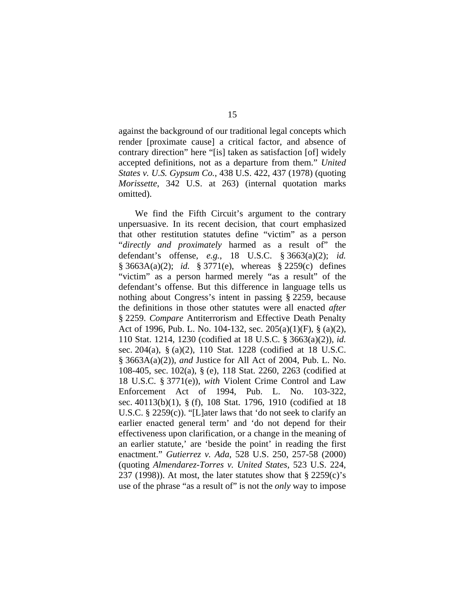against the background of our traditional legal concepts which render [proximate cause] a critical factor, and absence of contrary direction" here "[is] taken as satisfaction [of] widely accepted definitions, not as a departure from them." *United States v. U.S. Gypsum Co.*, 438 U.S. 422, 437 (1978) (quoting *Morissette*, 342 U.S. at 263) (internal quotation marks omitted).

We find the Fifth Circuit's argument to the contrary unpersuasive. In its recent decision, that court emphasized that other restitution statutes define "victim" as a person "*directly and proximately* harmed as a result of" the defendant's offense, *e.g.*, 18 U.S.C. § 3663(a)(2); *id.* § 3663A(a)(2); *id.* § 3771(e), whereas § 2259(c) defines "victim" as a person harmed merely "as a result" of the defendant's offense. But this difference in language tells us nothing about Congress's intent in passing § 2259, because the definitions in those other statutes were all enacted *after* § 2259. *Compare* Antiterrorism and Effective Death Penalty Act of 1996, Pub. L. No. 104-132, sec. 205(a)(1)(F), § (a)(2), 110 Stat. 1214, 1230 (codified at 18 U.S.C. § 3663(a)(2)), *id.*  sec. 204(a), § (a)(2), 110 Stat. 1228 (codified at 18 U.S.C. § 3663A(a)(2)), *and* Justice for All Act of 2004, Pub. L. No. 108-405, sec. 102(a), § (e), 118 Stat. 2260, 2263 (codified at 18 U.S.C. § 3771(e)), *with* Violent Crime Control and Law Enforcement Act of 1994, Pub. L. No. 103-322, sec. 40113(b)(1), § (f), 108 Stat. 1796, 1910 (codified at 18 U.S.C. § 2259(c)). "[L]ater laws that 'do not seek to clarify an earlier enacted general term' and 'do not depend for their effectiveness upon clarification, or a change in the meaning of an earlier statute,' are 'beside the point' in reading the first enactment." *Gutierrez v. Ada*, 528 U.S. 250, 257-58 (2000) (quoting *Almendarez-Torres v. United States*, 523 U.S. 224, 237 (1998)). At most, the later statutes show that  $\S$  2259(c)'s use of the phrase "as a result of" is not the *only* way to impose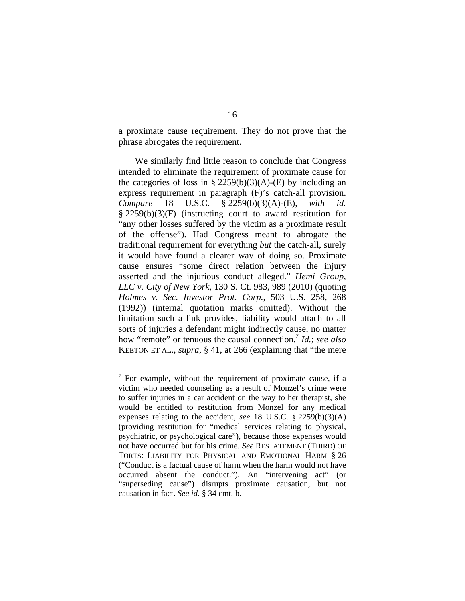a proximate cause requirement. They do not prove that the phrase abrogates the requirement.

We similarly find little reason to conclude that Congress intended to eliminate the requirement of proximate cause for the categories of loss in § 2259(b)(3)(A)-(E) by including an express requirement in paragraph (F)'s catch-all provision. *Compare* 18 U.S.C. § 2259(b)(3)(A)-(E), *with id.* § 2259(b)(3)(F) (instructing court to award restitution for "any other losses suffered by the victim as a proximate result of the offense"). Had Congress meant to abrogate the traditional requirement for everything *but* the catch-all, surely it would have found a clearer way of doing so. Proximate cause ensures "some direct relation between the injury asserted and the injurious conduct alleged." *Hemi Group, LLC v. City of New York*, 130 S. Ct. 983, 989 (2010) (quoting *Holmes v. Sec. Investor Prot. Corp.*, 503 U.S. 258, 268 (1992)) (internal quotation marks omitted). Without the limitation such a link provides, liability would attach to all sorts of injuries a defendant might indirectly cause, no matter how "remote" or tenuous the causal connection.7 *Id.*; *see also* KEETON ET AL.*, supra*, § 41, at 266 (explaining that "the mere

 $7$  For example, without the requirement of proximate cause, if a victim who needed counseling as a result of Monzel's crime were to suffer injuries in a car accident on the way to her therapist, she would be entitled to restitution from Monzel for any medical expenses relating to the accident, *see* 18 U.S.C. § 2259(b)(3)(A) (providing restitution for "medical services relating to physical, psychiatric, or psychological care"), because those expenses would not have occurred but for his crime. *See* RESTATEMENT (THIRD) OF TORTS: LIABILITY FOR PHYSICAL AND EMOTIONAL HARM § 26 ("Conduct is a factual cause of harm when the harm would not have occurred absent the conduct."). An "intervening act" (or "superseding cause") disrupts proximate causation, but not causation in fact. *See id.* § 34 cmt. b.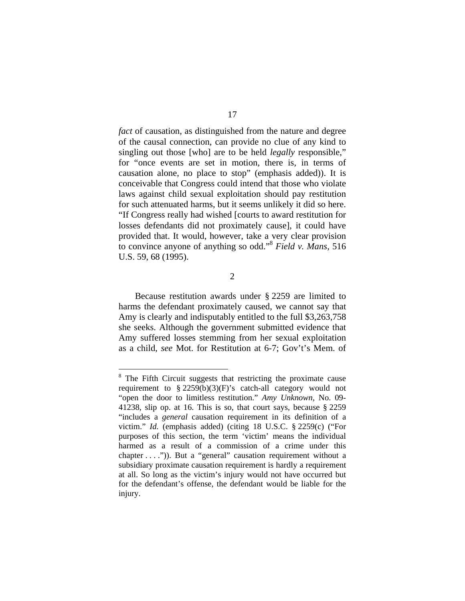*fact* of causation, as distinguished from the nature and degree of the causal connection, can provide no clue of any kind to singling out those [who] are to be held *legally* responsible," for "once events are set in motion, there is, in terms of causation alone, no place to stop" (emphasis added)). It is conceivable that Congress could intend that those who violate laws against child sexual exploitation should pay restitution for such attenuated harms, but it seems unlikely it did so here. "If Congress really had wished [courts to award restitution for losses defendants did not proximately cause], it could have provided that. It would, however, take a very clear provision to convince anyone of anything so odd."8 *Field v. Mans*, 516 U.S. 59, 68 (1995).

2

Because restitution awards under § 2259 are limited to harms the defendant proximately caused, we cannot say that Amy is clearly and indisputably entitled to the full \$3,263,758 she seeks. Although the government submitted evidence that Amy suffered losses stemming from her sexual exploitation as a child, *see* Mot. for Restitution at 6-7; Gov't's Mem. of

<sup>&</sup>lt;sup>8</sup> The Fifth Circuit suggests that restricting the proximate cause requirement to § 2259(b)(3)(F)'s catch-all category would not "open the door to limitless restitution." *Amy Unknown*, No. 09- 41238, slip op. at 16. This is so, that court says, because § 2259 "includes a *general* causation requirement in its definition of a victim." *Id.* (emphasis added) (citing 18 U.S.C. § 2259(c) ("For purposes of this section, the term 'victim' means the individual harmed as a result of a commission of a crime under this chapter . . . .")). But a "general" causation requirement without a subsidiary proximate causation requirement is hardly a requirement at all. So long as the victim's injury would not have occurred but for the defendant's offense, the defendant would be liable for the injury.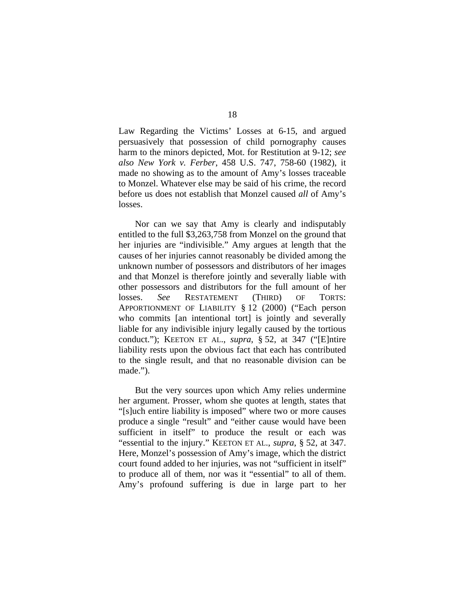Law Regarding the Victims' Losses at 6-15, and argued persuasively that possession of child pornography causes harm to the minors depicted, Mot. for Restitution at 9-12; *see also New York v. Ferber*, 458 U.S. 747, 758-60 (1982), it made no showing as to the amount of Amy's losses traceable to Monzel. Whatever else may be said of his crime, the record before us does not establish that Monzel caused *all* of Amy's losses.

Nor can we say that Amy is clearly and indisputably entitled to the full \$3,263,758 from Monzel on the ground that her injuries are "indivisible." Amy argues at length that the causes of her injuries cannot reasonably be divided among the unknown number of possessors and distributors of her images and that Monzel is therefore jointly and severally liable with other possessors and distributors for the full amount of her losses. *See* RESTATEMENT (THIRD) OF TORTS: APPORTIONMENT OF LIABILITY § 12 (2000) ("Each person who commits [an intentional tort] is jointly and severally liable for any indivisible injury legally caused by the tortious conduct."); KEETON ET AL., *supra*, § 52, at 347 ("[E]ntire liability rests upon the obvious fact that each has contributed to the single result, and that no reasonable division can be made.").

But the very sources upon which Amy relies undermine her argument. Prosser, whom she quotes at length, states that "[s]uch entire liability is imposed" where two or more causes produce a single "result" and "either cause would have been sufficient in itself" to produce the result or each was "essential to the injury." KEETON ET AL., *supra*, § 52, at 347. Here, Monzel's possession of Amy's image, which the district court found added to her injuries, was not "sufficient in itself" to produce all of them, nor was it "essential" to all of them. Amy's profound suffering is due in large part to her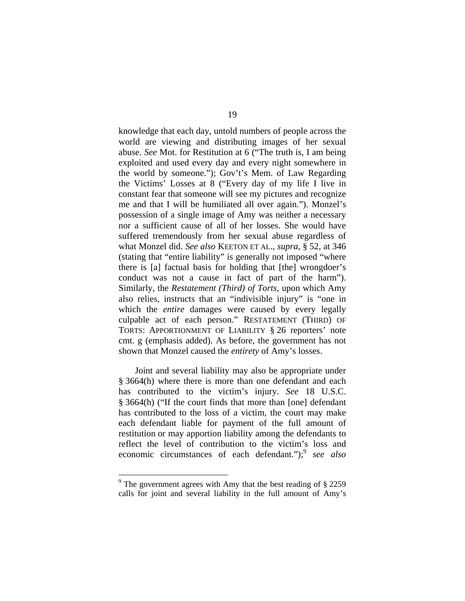knowledge that each day, untold numbers of people across the world are viewing and distributing images of her sexual abuse. *See* Mot. for Restitution at 6 ("The truth is, I am being exploited and used every day and every night somewhere in the world by someone."); Gov't's Mem. of Law Regarding the Victims' Losses at 8 ("Every day of my life I live in constant fear that someone will see my pictures and recognize me and that I will be humiliated all over again."). Monzel's possession of a single image of Amy was neither a necessary nor a sufficient cause of all of her losses. She would have suffered tremendously from her sexual abuse regardless of what Monzel did. *See also* KEETON ET AL., *supra*, § 52, at 346 (stating that "entire liability" is generally not imposed "where there is [a] factual basis for holding that [the] wrongdoer's conduct was not a cause in fact of part of the harm"). Similarly, the *Restatement (Third) of Torts*, upon which Amy also relies, instructs that an "indivisible injury" is "one in which the *entire* damages were caused by every legally culpable act of each person." RESTATEMENT (THIRD) OF TORTS: APPORTIONMENT OF LIABILITY § 26 reporters' note cmt. g (emphasis added). As before, the government has not shown that Monzel caused the *entirety* of Amy's losses.

Joint and several liability may also be appropriate under § 3664(h) where there is more than one defendant and each has contributed to the victim's injury. *See* 18 U.S.C. § 3664(h) ("If the court finds that more than [one] defendant has contributed to the loss of a victim, the court may make each defendant liable for payment of the full amount of restitution or may apportion liability among the defendants to reflect the level of contribution to the victim's loss and economic circumstances of each defendant.");<sup>9</sup> *see also* 

<sup>&</sup>lt;sup>9</sup> The government agrees with Amy that the best reading of  $\S$  2259 calls for joint and several liability in the full amount of Amy's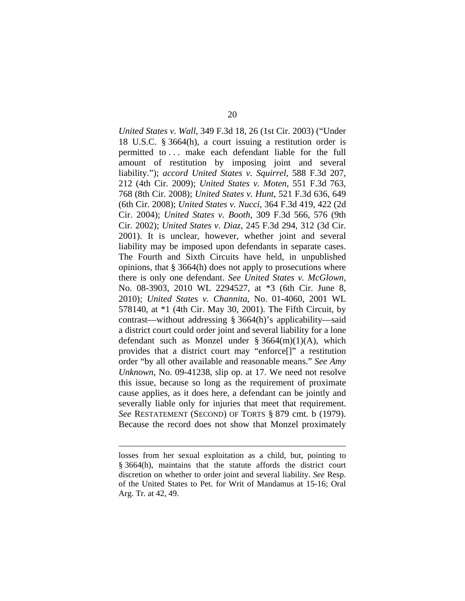*United States v. Wall*, 349 F.3d 18, 26 (1st Cir. 2003) ("Under 18 U.S.C. § 3664(h), a court issuing a restitution order is permitted to . . . make each defendant liable for the full amount of restitution by imposing joint and several liability."); *accord United States v. Squirrel*, 588 F.3d 207, 212 (4th Cir. 2009); *United States v. Moten*, 551 F.3d 763, 768 (8th Cir. 2008); *United States v. Hunt*, 521 F.3d 636, 649 (6th Cir. 2008); *United States v. Nucci*, 364 F.3d 419, 422 (2d Cir. 2004); *United States v. Booth*, 309 F.3d 566, 576 (9th Cir. 2002); *United States v. Diaz*, 245 F.3d 294, 312 (3d Cir. 2001). It is unclear, however, whether joint and several liability may be imposed upon defendants in separate cases. The Fourth and Sixth Circuits have held, in unpublished opinions, that § 3664(h) does not apply to prosecutions where there is only one defendant. *See United States v. McGlown*, No. 08-3903, 2010 WL 2294527, at \*3 (6th Cir. June 8, 2010); *United States v. Channita*, No. 01-4060, 2001 WL 578140, at \*1 (4th Cir. May 30, 2001). The Fifth Circuit, by contrast—without addressing § 3664(h)'s applicability—said a district court could order joint and several liability for a lone defendant such as Monzel under  $\S 3664(m)(1)(A)$ , which provides that a district court may "enforce[]" a restitution order "by all other available and reasonable means." *See Amy Unknown*, No. 09-41238, slip op. at 17. We need not resolve this issue, because so long as the requirement of proximate cause applies, as it does here, a defendant can be jointly and severally liable only for injuries that meet that requirement. *See* RESTATEMENT (SECOND) OF TORTS § 879 cmt. b (1979). Because the record does not show that Monzel proximately

losses from her sexual exploitation as a child, but, pointing to § 3664(h), maintains that the statute affords the district court discretion on whether to order joint and several liability. *See* Resp. of the United States to Pet. for Writ of Mandamus at 15-16; Oral Arg. Tr. at 42, 49.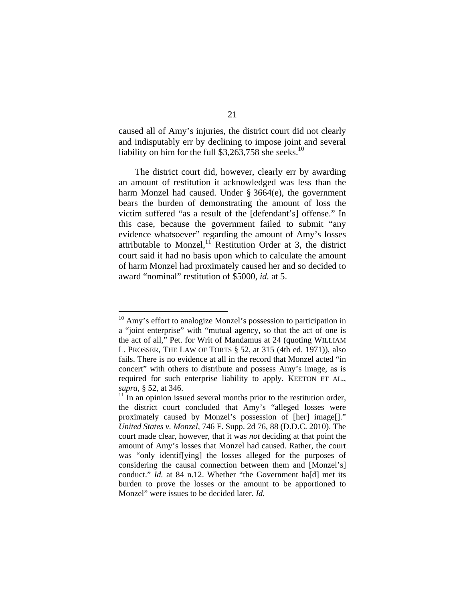caused all of Amy's injuries, the district court did not clearly and indisputably err by declining to impose joint and several liability on him for the full  $$3,263,758$  she seeks.<sup>10</sup>

The district court did, however, clearly err by awarding an amount of restitution it acknowledged was less than the harm Monzel had caused. Under § 3664(e), the government bears the burden of demonstrating the amount of loss the victim suffered "as a result of the [defendant's] offense." In this case, because the government failed to submit "any evidence whatsoever" regarding the amount of Amy's losses attributable to Monzel, $11$  Restitution Order at 3, the district court said it had no basis upon which to calculate the amount of harm Monzel had proximately caused her and so decided to award "nominal" restitution of \$5000, *id.* at 5.

<sup>&</sup>lt;sup>10</sup> Amy's effort to analogize Monzel's possession to participation in a "joint enterprise" with "mutual agency, so that the act of one is the act of all," Pet. for Writ of Mandamus at 24 (quoting WILLIAM L. PROSSER, THE LAW OF TORTS § 52, at 315 (4th ed. 1971)), also fails. There is no evidence at all in the record that Monzel acted "in concert" with others to distribute and possess Amy's image, as is required for such enterprise liability to apply. KEETON ET AL., *supra*, § 52, at 346.

 $11$  In an opinion issued several months prior to the restitution order, the district court concluded that Amy's "alleged losses were proximately caused by Monzel's possession of [her] image[]." *United States v. Monzel*, 746 F. Supp. 2d 76, 88 (D.D.C. 2010). The court made clear, however, that it was *not* deciding at that point the amount of Amy's losses that Monzel had caused. Rather, the court was "only identif[ying] the losses alleged for the purposes of considering the causal connection between them and [Monzel's] conduct." *Id.* at 84 n.12. Whether "the Government ha[d] met its burden to prove the losses or the amount to be apportioned to Monzel" were issues to be decided later. *Id.*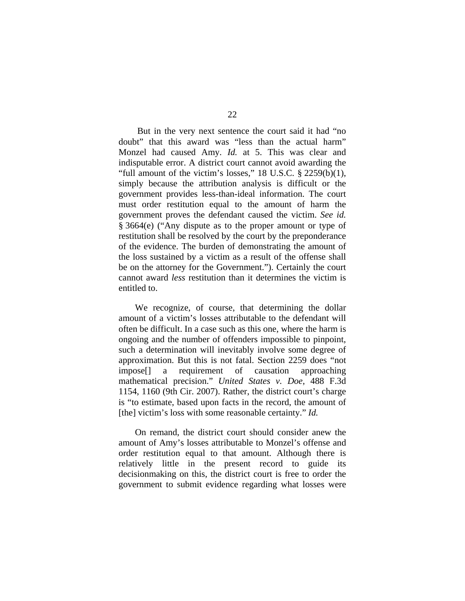But in the very next sentence the court said it had "no doubt" that this award was "less than the actual harm" Monzel had caused Amy. *Id.* at 5. This was clear and indisputable error. A district court cannot avoid awarding the "full amount of the victim's losses,"  $18$  U.S.C.  $\S$   $2259(b)(1)$ , simply because the attribution analysis is difficult or the government provides less-than-ideal information. The court must order restitution equal to the amount of harm the government proves the defendant caused the victim. *See id.* § 3664(e) ("Any dispute as to the proper amount or type of restitution shall be resolved by the court by the preponderance of the evidence. The burden of demonstrating the amount of the loss sustained by a victim as a result of the offense shall be on the attorney for the Government."). Certainly the court cannot award *less* restitution than it determines the victim is entitled to.

We recognize, of course, that determining the dollar amount of a victim's losses attributable to the defendant will often be difficult. In a case such as this one, where the harm is ongoing and the number of offenders impossible to pinpoint, such a determination will inevitably involve some degree of approximation. But this is not fatal. Section 2259 does "not impose[] a requirement of causation approaching mathematical precision." *United States v. Doe*, 488 F.3d 1154, 1160 (9th Cir. 2007). Rather, the district court's charge is "to estimate, based upon facts in the record, the amount of [the] victim's loss with some reasonable certainty." *Id.* 

On remand, the district court should consider anew the amount of Amy's losses attributable to Monzel's offense and order restitution equal to that amount. Although there is relatively little in the present record to guide its decisionmaking on this, the district court is free to order the government to submit evidence regarding what losses were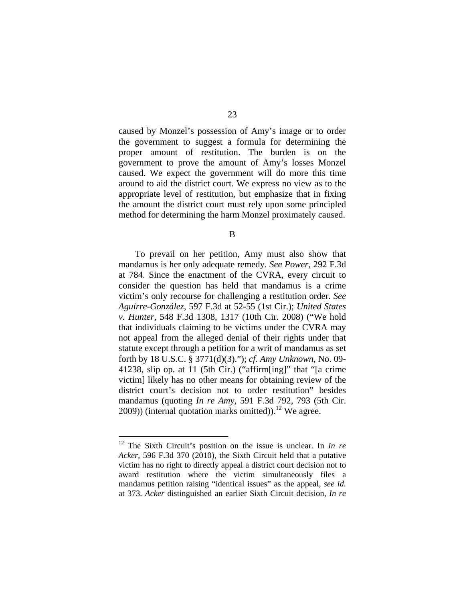caused by Monzel's possession of Amy's image or to order the government to suggest a formula for determining the proper amount of restitution. The burden is on the government to prove the amount of Amy's losses Monzel caused. We expect the government will do more this time around to aid the district court. We express no view as to the appropriate level of restitution, but emphasize that in fixing the amount the district court must rely upon some principled method for determining the harm Monzel proximately caused.

B

 To prevail on her petition, Amy must also show that mandamus is her only adequate remedy. *See Power*, 292 F.3d at 784. Since the enactment of the CVRA, every circuit to consider the question has held that mandamus is a crime victim's only recourse for challenging a restitution order. *See Aguirre-González*, 597 F.3d at 52-55 (1st Cir.); *United States v. Hunter*, 548 F.3d 1308, 1317 (10th Cir. 2008) ("We hold that individuals claiming to be victims under the CVRA may not appeal from the alleged denial of their rights under that statute except through a petition for a writ of mandamus as set forth by 18 U.S.C. § 3771(d)(3)."); *cf. Amy Unknown*, No. 09- 41238, slip op. at 11 (5th Cir.) ("affirm[ing]" that "[a crime victim] likely has no other means for obtaining review of the district court's decision not to order restitution" besides mandamus (quoting *In re Amy*, 591 F.3d 792, 793 (5th Cir.  $(2009)$ ) (internal quotation marks omitted)).<sup>12</sup> We agree.

<sup>12</sup> The Sixth Circuit's position on the issue is unclear. In *In re Acker*, 596 F.3d 370 (2010), the Sixth Circuit held that a putative victim has no right to directly appeal a district court decision not to award restitution where the victim simultaneously files a mandamus petition raising "identical issues" as the appeal, *see id.* at 373. *Acker* distinguished an earlier Sixth Circuit decision, *In re*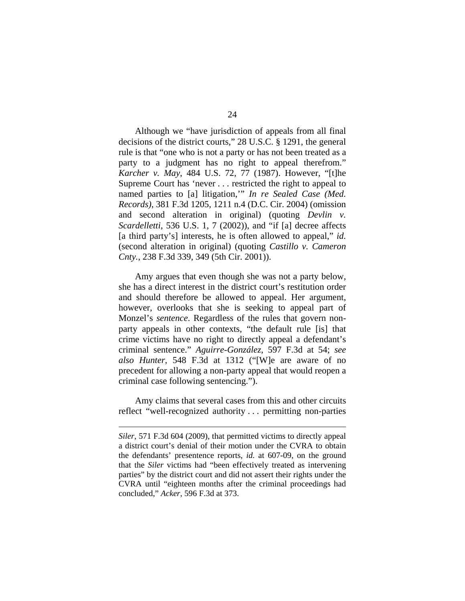Although we "have jurisdiction of appeals from all final decisions of the district courts," 28 U.S.C. § 1291, the general rule is that "one who is not a party or has not been treated as a party to a judgment has no right to appeal therefrom." *Karcher v. May*, 484 U.S. 72, 77 (1987). However, "[t]he Supreme Court has 'never . . . restricted the right to appeal to named parties to [a] litigation,'" *In re Sealed Case (Med. Records)*, 381 F.3d 1205, 1211 n.4 (D.C. Cir. 2004) (omission and second alteration in original) (quoting *Devlin v. Scardelletti*, 536 U.S. 1, 7 (2002)), and "if [a] decree affects [a third party's] interests, he is often allowed to appeal," *id.* (second alteration in original) (quoting *Castillo v. Cameron Cnty.*, 238 F.3d 339, 349 (5th Cir. 2001)).

Amy argues that even though she was not a party below, she has a direct interest in the district court's restitution order and should therefore be allowed to appeal. Her argument, however, overlooks that she is seeking to appeal part of Monzel's *sentence*. Regardless of the rules that govern nonparty appeals in other contexts, "the default rule [is] that crime victims have no right to directly appeal a defendant's criminal sentence." *Aguirre-González*, 597 F.3d at 54; *see also Hunter*, 548 F.3d at 1312 ("[W]e are aware of no precedent for allowing a non-party appeal that would reopen a criminal case following sentencing.").

Amy claims that several cases from this and other circuits reflect "well-recognized authority . . . permitting non-parties

*Siler*, 571 F.3d 604 (2009), that permitted victims to directly appeal a district court's denial of their motion under the CVRA to obtain the defendants' presentence reports, *id.* at 607-09, on the ground that the *Siler* victims had "been effectively treated as intervening parties" by the district court and did not assert their rights under the CVRA until "eighteen months after the criminal proceedings had concluded," *Acker*, 596 F.3d at 373.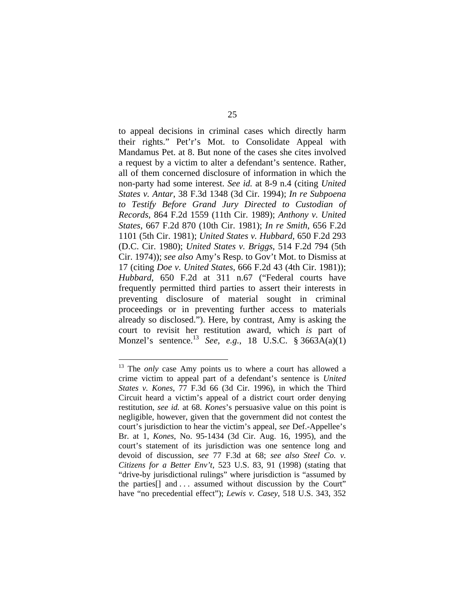to appeal decisions in criminal cases which directly harm their rights." Pet'r's Mot. to Consolidate Appeal with Mandamus Pet. at 8. But none of the cases she cites involved a request by a victim to alter a defendant's sentence. Rather, all of them concerned disclosure of information in which the non-party had some interest. *See id.* at 8-9 n.4 (citing *United States v. Antar*, 38 F.3d 1348 (3d Cir. 1994); *In re Subpoena to Testify Before Grand Jury Directed to Custodian of Records*, 864 F.2d 1559 (11th Cir. 1989); *Anthony v. United States*, 667 F.2d 870 (10th Cir. 1981); *In re Smith*, 656 F.2d 1101 (5th Cir. 1981); *United States v. Hubbard*, 650 F.2d 293 (D.C. Cir. 1980); *United States v. Briggs*, 514 F.2d 794 (5th Cir. 1974)); *see also* Amy's Resp. to Gov't Mot. to Dismiss at 17 (citing *Doe v. United States*, 666 F.2d 43 (4th Cir. 1981)); *Hubbard*, 650 F.2d at 311 n.67 ("Federal courts have frequently permitted third parties to assert their interests in preventing disclosure of material sought in criminal proceedings or in preventing further access to materials already so disclosed."). Here, by contrast, Amy is asking the court to revisit her restitution award, which *is* part of Monzel's sentence.13 *See, e.g.*, 18 U.S.C. § 3663A(a)(1)

<sup>&</sup>lt;sup>13</sup> The *only* case Amy points us to where a court has allowed a crime victim to appeal part of a defendant's sentence is *United States v. Kones*, 77 F.3d 66 (3d Cir. 1996), in which the Third Circuit heard a victim's appeal of a district court order denying restitution, *see id.* at 68. *Kones*'s persuasive value on this point is negligible, however, given that the government did not contest the court's jurisdiction to hear the victim's appeal, *see* Def.-Appellee's Br. at 1, *Kones*, No. 95-1434 (3d Cir. Aug. 16, 1995), and the court's statement of its jurisdiction was one sentence long and devoid of discussion, *see* 77 F.3d at 68; *see also Steel Co. v. Citizens for a Better Env't*, 523 U.S. 83, 91 (1998) (stating that "drive-by jurisdictional rulings" where jurisdiction is "assumed by the parties[] and . . . assumed without discussion by the Court" have "no precedential effect"); *Lewis v. Casey*, 518 U.S. 343, 352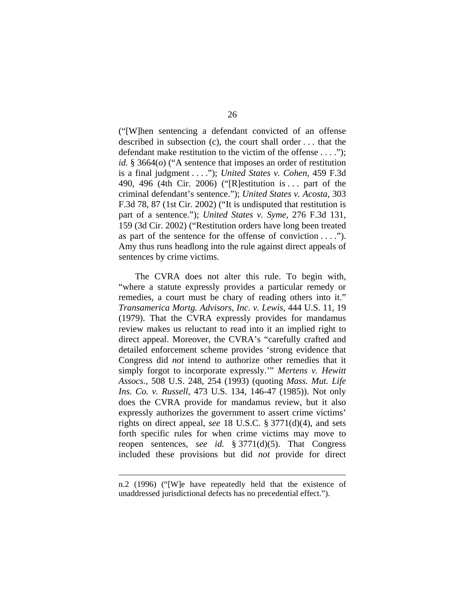("[W]hen sentencing a defendant convicted of an offense described in subsection (c), the court shall order . . . that the defendant make restitution to the victim of the offense . . . ."); *id.* § 3664(*o*) ("A sentence that imposes an order of restitution is a final judgment . . . ."); *United States v. Cohen*, 459 F.3d 490, 496 (4th Cir. 2006) ("[R]estitution is . . . part of the criminal defendant's sentence."); *United States v. Acosta*, 303 F.3d 78, 87 (1st Cir. 2002) ("It is undisputed that restitution is part of a sentence."); *United States v. Syme*, 276 F.3d 131, 159 (3d Cir. 2002) ("Restitution orders have long been treated as part of the sentence for the offense of conviction  $\dots$ ."). Amy thus runs headlong into the rule against direct appeals of sentences by crime victims.

The CVRA does not alter this rule. To begin with, "where a statute expressly provides a particular remedy or remedies, a court must be chary of reading others into it." *Transamerica Mortg. Advisors, Inc. v. Lewis*, 444 U.S. 11, 19 (1979). That the CVRA expressly provides for mandamus review makes us reluctant to read into it an implied right to direct appeal. Moreover, the CVRA's "carefully crafted and detailed enforcement scheme provides 'strong evidence that Congress did *not* intend to authorize other remedies that it simply forgot to incorporate expressly.'" *Mertens v. Hewitt Assocs.*, 508 U.S. 248, 254 (1993) (quoting *Mass. Mut. Life Ins. Co. v. Russell*, 473 U.S. 134, 146-47 (1985)). Not only does the CVRA provide for mandamus review, but it also expressly authorizes the government to assert crime victims' rights on direct appeal, *see* 18 U.S.C. § 3771(d)(4), and sets forth specific rules for when crime victims may move to reopen sentences, *see id.* § 3771(d)(5). That Congress included these provisions but did *not* provide for direct

n.2 (1996) ("[W]e have repeatedly held that the existence of unaddressed jurisdictional defects has no precedential effect.").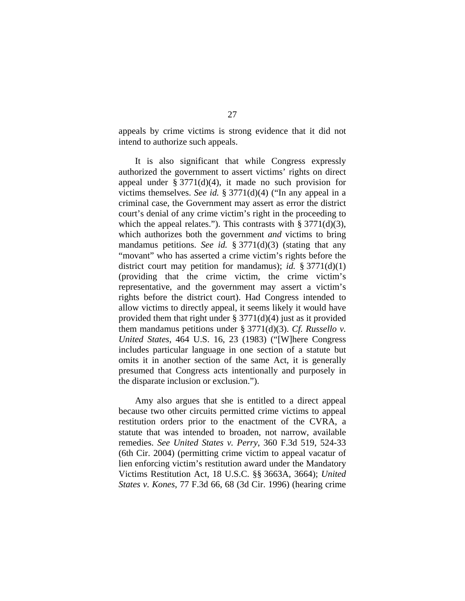appeals by crime victims is strong evidence that it did not intend to authorize such appeals.

It is also significant that while Congress expressly authorized the government to assert victims' rights on direct appeal under  $\S 3771(d)(4)$ , it made no such provision for victims themselves. *See id.* § 3771(d)(4) ("In any appeal in a criminal case, the Government may assert as error the district court's denial of any crime victim's right in the proceeding to which the appeal relates."). This contrasts with  $\S 3771(d)(3)$ , which authorizes both the government *and* victims to bring mandamus petitions. *See id.* § 3771(d)(3) (stating that any "movant" who has asserted a crime victim's rights before the district court may petition for mandamus); *id.* § 3771(d)(1) (providing that the crime victim, the crime victim's representative, and the government may assert a victim's rights before the district court). Had Congress intended to allow victims to directly appeal, it seems likely it would have provided them that right under  $\S 3771(d)(4)$  just as it provided them mandamus petitions under § 3771(d)(3). *Cf. Russello v. United States*, 464 U.S. 16, 23 (1983) ("[W]here Congress includes particular language in one section of a statute but omits it in another section of the same Act, it is generally presumed that Congress acts intentionally and purposely in the disparate inclusion or exclusion.").

Amy also argues that she is entitled to a direct appeal because two other circuits permitted crime victims to appeal restitution orders prior to the enactment of the CVRA, a statute that was intended to broaden, not narrow, available remedies. *See United States v. Perry*, 360 F.3d 519, 524-33 (6th Cir. 2004) (permitting crime victim to appeal vacatur of lien enforcing victim's restitution award under the Mandatory Victims Restitution Act, 18 U.S.C. §§ 3663A, 3664); *United States v. Kones*, 77 F.3d 66, 68 (3d Cir. 1996) (hearing crime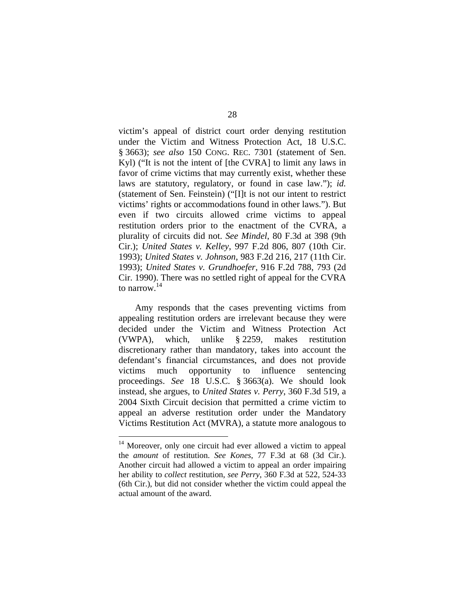victim's appeal of district court order denying restitution under the Victim and Witness Protection Act, 18 U.S.C. § 3663); *see also* 150 CONG. REC. 7301 (statement of Sen. Kyl) ("It is not the intent of [the CVRA] to limit any laws in favor of crime victims that may currently exist, whether these laws are statutory, regulatory, or found in case law."); *id.* (statement of Sen. Feinstein) ("[I]t is not our intent to restrict victims' rights or accommodations found in other laws."). But even if two circuits allowed crime victims to appeal restitution orders prior to the enactment of the CVRA, a plurality of circuits did not. *See Mindel*, 80 F.3d at 398 (9th Cir.); *United States v. Kelley*, 997 F.2d 806, 807 (10th Cir. 1993); *United States v. Johnson*, 983 F.2d 216, 217 (11th Cir. 1993); *United States v. Grundhoefer*, 916 F.2d 788, 793 (2d Cir. 1990). There was no settled right of appeal for the CVRA to narrow.14

Amy responds that the cases preventing victims from appealing restitution orders are irrelevant because they were decided under the Victim and Witness Protection Act (VWPA), which, unlike § 2259, makes restitution discretionary rather than mandatory, takes into account the defendant's financial circumstances, and does not provide victims much opportunity to influence sentencing proceedings. *See* 18 U.S.C. § 3663(a). We should look instead, she argues, to *United States v. Perry*, 360 F.3d 519, a 2004 Sixth Circuit decision that permitted a crime victim to appeal an adverse restitution order under the Mandatory Victims Restitution Act (MVRA), a statute more analogous to

 $14$  Moreover, only one circuit had ever allowed a victim to appeal the *amount* of restitution. *See Kones*, 77 F.3d at 68 (3d Cir.). Another circuit had allowed a victim to appeal an order impairing her ability to *collect* restitution, *see Perry*, 360 F.3d at 522, 524-33 (6th Cir.), but did not consider whether the victim could appeal the actual amount of the award.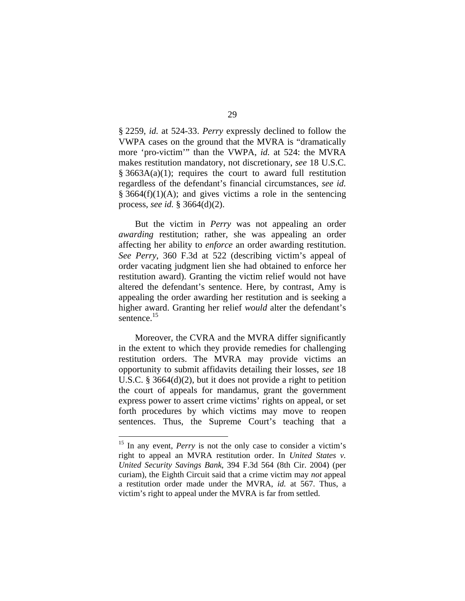§ 2259, *id.* at 524-33. *Perry* expressly declined to follow the VWPA cases on the ground that the MVRA is "dramatically more 'pro-victim'" than the VWPA, *id.* at 524: the MVRA makes restitution mandatory, not discretionary, *see* 18 U.S.C. § 3663A(a)(1); requires the court to award full restitution regardless of the defendant's financial circumstances, *see id.*  $§ 3664(f)(1)(A);$  and gives victims a role in the sentencing process, *see id.* § 3664(d)(2).

But the victim in *Perry* was not appealing an order *awarding* restitution; rather, she was appealing an order affecting her ability to *enforce* an order awarding restitution. *See Perry*, 360 F.3d at 522 (describing victim's appeal of order vacating judgment lien she had obtained to enforce her restitution award). Granting the victim relief would not have altered the defendant's sentence. Here, by contrast, Amy is appealing the order awarding her restitution and is seeking a higher award. Granting her relief *would* alter the defendant's sentence.<sup>15</sup>

Moreover, the CVRA and the MVRA differ significantly in the extent to which they provide remedies for challenging restitution orders. The MVRA may provide victims an opportunity to submit affidavits detailing their losses, *see* 18 U.S.C. § 3664(d)(2), but it does not provide a right to petition the court of appeals for mandamus, grant the government express power to assert crime victims' rights on appeal, or set forth procedures by which victims may move to reopen sentences. Thus, the Supreme Court's teaching that a

<sup>&</sup>lt;sup>15</sup> In any event, *Perry* is not the only case to consider a victim's right to appeal an MVRA restitution order. In *United States v. United Security Savings Bank*, 394 F.3d 564 (8th Cir. 2004) (per curiam), the Eighth Circuit said that a crime victim may *not* appeal a restitution order made under the MVRA, *id.* at 567. Thus, a victim's right to appeal under the MVRA is far from settled.